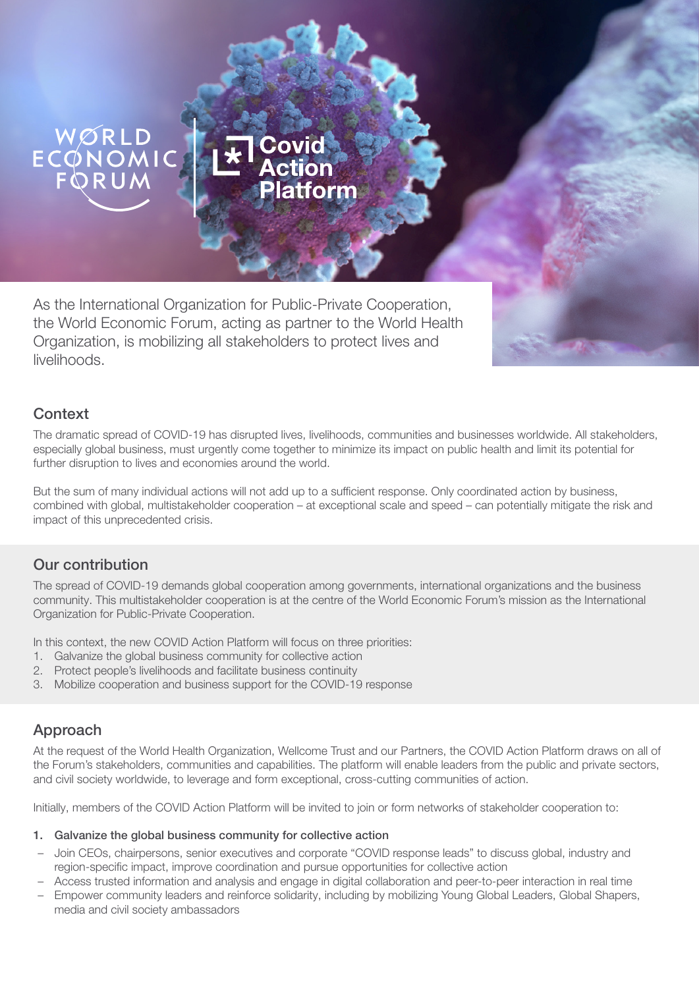# ECONOMIC

As the International Organization for Public-Private Cooperation, the World Economic Forum, acting as partner to the World Health Organization, is mobilizing all stakeholders to protect lives and livelihoods.

Covid

## **Context**

The dramatic spread of COVID-19 has disrupted lives, livelihoods, communities and businesses worldwide. All stakeholders, especially global business, must urgently come together to minimize its impact on public health and limit its potential for further disruption to lives and economies around the world.

But the sum of many individual actions will not add up to a sufficient response. Only coordinated action by business, combined with global, multistakeholder cooperation – at exceptional scale and speed – can potentially mitigate the risk and impact of this unprecedented crisis.

## Our contribution

The spread of COVID-19 demands global cooperation among governments, international organizations and the business community. This multistakeholder cooperation is at the centre of the World Economic Forum's mission as the International Organization for Public-Private Cooperation.

In this context, the new COVID Action Platform will focus on three priorities:

- 1. Galvanize the global business community for collective action
- 2. Protect people's livelihoods and facilitate business continuity
- 3. Mobilize cooperation and business support for the COVID-19 response

# Approach

At the request of the World Health Organization, Wellcome Trust and our Partners, the COVID Action Platform draws on all of the Forum's stakeholders, communities and capabilities. The platform will enable leaders from the public and private sectors, and civil society worldwide, to leverage and form exceptional, cross-cutting communities of action.

Initially, members of the COVID Action Platform will be invited to join or form networks of stakeholder cooperation to:

#### 1. Galvanize the global business community for collective action

- Join CEOs, chairpersons, senior executives and corporate "COVID response leads" to discuss global, industry and region-specific impact, improve coordination and pursue opportunities for collective action
- Access trusted information and analysis and engage in digital collaboration and peer-to-peer interaction in real time
- Empower community leaders and reinforce solidarity, including by mobilizing Young Global Leaders, Global Shapers, media and civil society ambassadors